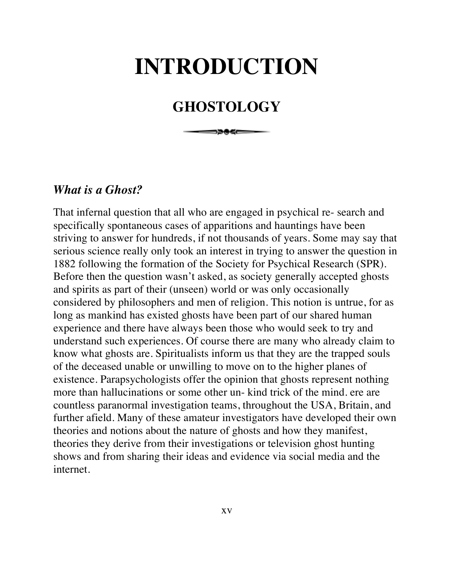# **INTRODUCTION**

# **GHOSTOLOGY**

つかめだこ

#### *What is a Ghost?*

That infernal question that all who are engaged in psychical re- search and specifically spontaneous cases of apparitions and hauntings have been striving to answer for hundreds, if not thousands of years. Some may say that serious science really only took an interest in trying to answer the question in 1882 following the formation of the Society for Psychical Research (SPR). Before then the question wasn't asked, as society generally accepted ghosts and spirits as part of their (unseen) world or was only occasionally considered by philosophers and men of religion. This notion is untrue, for as long as mankind has existed ghosts have been part of our shared human experience and there have always been those who would seek to try and understand such experiences. Of course there are many who already claim to know what ghosts are. Spiritualists inform us that they are the trapped souls of the deceased unable or unwilling to move on to the higher planes of existence. Parapsychologists offer the opinion that ghosts represent nothing more than hallucinations or some other un- kind trick of the mind. ere are countless paranormal investigation teams, throughout the USA, Britain, and further afield. Many of these amateur investigators have developed their own theories and notions about the nature of ghosts and how they manifest, theories they derive from their investigations or television ghost hunting shows and from sharing their ideas and evidence via social media and the internet.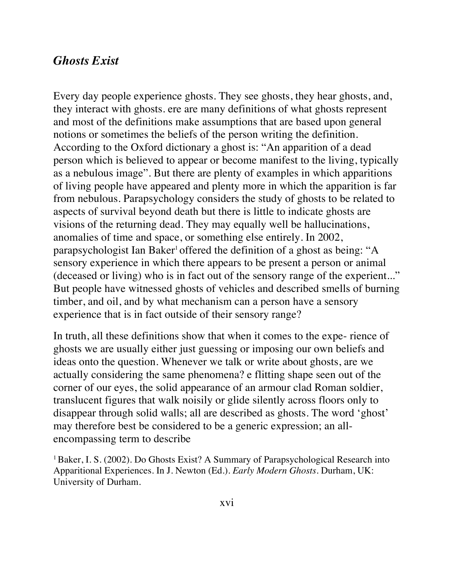## *Ghosts Exist*

Every day people experience ghosts. They see ghosts, they hear ghosts, and, they interact with ghosts. ere are many definitions of what ghosts represent and most of the definitions make assumptions that are based upon general notions or sometimes the beliefs of the person writing the definition. According to the Oxford dictionary a ghost is: "An apparition of a dead person which is believed to appear or become manifest to the living, typically as a nebulous image". But there are plenty of examples in which apparitions of living people have appeared and plenty more in which the apparition is far from nebulous. Parapsychology considers the study of ghosts to be related to aspects of survival beyond death but there is little to indicate ghosts are visions of the returning dead. They may equally well be hallucinations, anomalies of time and space, or something else entirely. In 2002, parapsychologist Ian Baker<sup>1</sup> offered the definition of a ghost as being: "A sensory experience in which there appears to be present a person or animal (deceased or living) who is in fact out of the sensory range of the experient..." But people have witnessed ghosts of vehicles and described smells of burning timber, and oil, and by what mechanism can a person have a sensory experience that is in fact outside of their sensory range?

In truth, all these definitions show that when it comes to the expe- rience of ghosts we are usually either just guessing or imposing our own beliefs and ideas onto the question. Whenever we talk or write about ghosts, are we actually considering the same phenomena? e flitting shape seen out of the corner of our eyes, the solid appearance of an armour clad Roman soldier, translucent figures that walk noisily or glide silently across floors only to disappear through solid walls; all are described as ghosts. The word 'ghost' may therefore best be considered to be a generic expression; an allencompassing term to describe

<sup>1</sup> Baker, I. S. (2002). Do Ghosts Exist? A Summary of Parapsychological Research into Apparitional Experiences. In J. Newton (Ed.). *Early Modern Ghosts*. Durham, UK: University of Durham.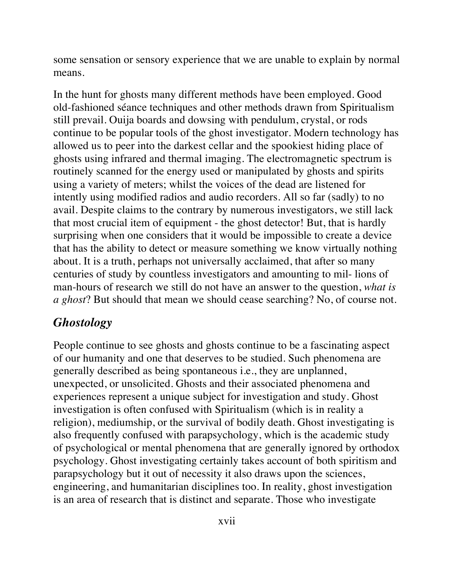some sensation or sensory experience that we are unable to explain by normal means.

In the hunt for ghosts many different methods have been employed. Good old-fashioned séance techniques and other methods drawn from Spiritualism still prevail. Ouija boards and dowsing with pendulum, crystal, or rods continue to be popular tools of the ghost investigator. Modern technology has allowed us to peer into the darkest cellar and the spookiest hiding place of ghosts using infrared and thermal imaging. The electromagnetic spectrum is routinely scanned for the energy used or manipulated by ghosts and spirits using a variety of meters; whilst the voices of the dead are listened for intently using modified radios and audio recorders. All so far (sadly) to no avail. Despite claims to the contrary by numerous investigators, we still lack that most crucial item of equipment - the ghost detector! But, that is hardly surprising when one considers that it would be impossible to create a device that has the ability to detect or measure something we know virtually nothing about. It is a truth, perhaps not universally acclaimed, that after so many centuries of study by countless investigators and amounting to mil- lions of man-hours of research we still do not have an answer to the question, *what is a ghost*? But should that mean we should cease searching? No, of course not.

### *Ghostology*

People continue to see ghosts and ghosts continue to be a fascinating aspect of our humanity and one that deserves to be studied. Such phenomena are generally described as being spontaneous i.e., they are unplanned, unexpected, or unsolicited. Ghosts and their associated phenomena and experiences represent a unique subject for investigation and study. Ghost investigation is often confused with Spiritualism (which is in reality a religion), mediumship, or the survival of bodily death. Ghost investigating is also frequently confused with parapsychology, which is the academic study of psychological or mental phenomena that are generally ignored by orthodox psychology. Ghost investigating certainly takes account of both spiritism and parapsychology but it out of necessity it also draws upon the sciences, engineering, and humanitarian disciplines too. In reality, ghost investigation is an area of research that is distinct and separate. Those who investigate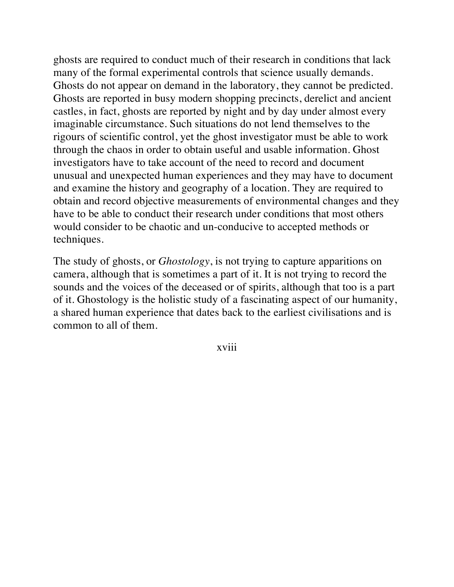ghosts are required to conduct much of their research in conditions that lack many of the formal experimental controls that science usually demands. Ghosts do not appear on demand in the laboratory, they cannot be predicted. Ghosts are reported in busy modern shopping precincts, derelict and ancient castles, in fact, ghosts are reported by night and by day under almost every imaginable circumstance. Such situations do not lend themselves to the rigours of scientific control, yet the ghost investigator must be able to work through the chaos in order to obtain useful and usable information. Ghost investigators have to take account of the need to record and document unusual and unexpected human experiences and they may have to document and examine the history and geography of a location. They are required to obtain and record objective measurements of environmental changes and they have to be able to conduct their research under conditions that most others would consider to be chaotic and un-conducive to accepted methods or techniques.

The study of ghosts, or *Ghostology*, is not trying to capture apparitions on camera, although that is sometimes a part of it. It is not trying to record the sounds and the voices of the deceased or of spirits, although that too is a part of it. Ghostology is the holistic study of a fascinating aspect of our humanity, a shared human experience that dates back to the earliest civilisations and is common to all of them.

xviii